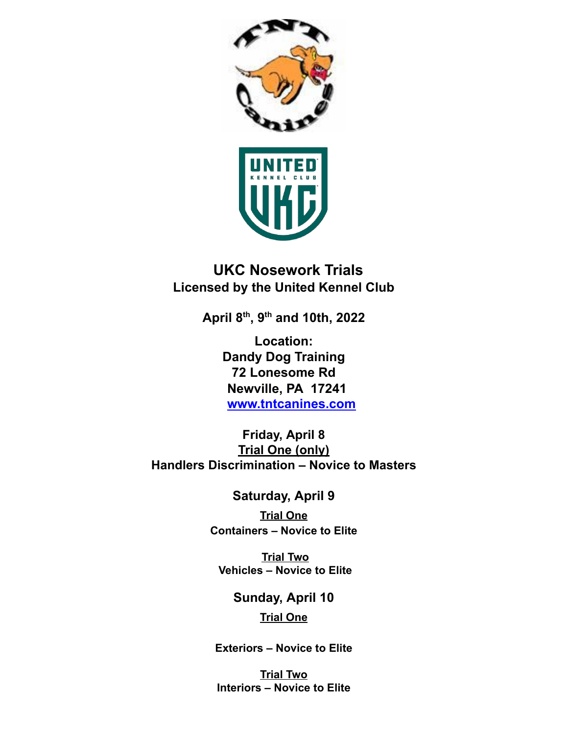

## **UKC Nosework Trials Licensed by the United Kennel Club**

**April 8 th , 9 th and 10th, 2022**

**Location: Dandy Dog Training 72 Lonesome Rd Newville, PA 17241 [www.tntcanines.com](http://www.tristatedogobedienceclub.org/)**

**Friday, April 8 Trial One (only) Handlers Discrimination – Novice to Masters**

## **Saturday, April 9**

**Trial One Containers – Novice to Elite**

**Trial Two Vehicles – Novice to Elite**

## **Sunday, April 10**

## **Trial One**

**Exteriors – Novice to Elite**

**Trial Two Interiors – Novice to Elite**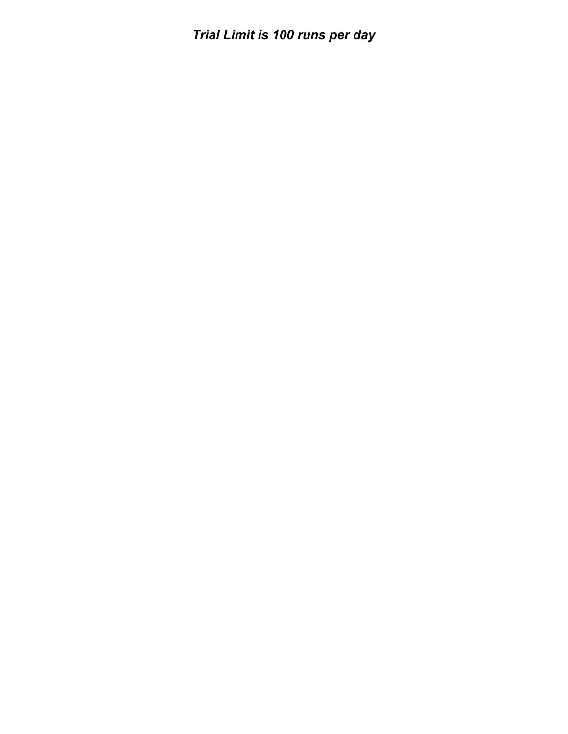*Trial Limit is 100 runs per day*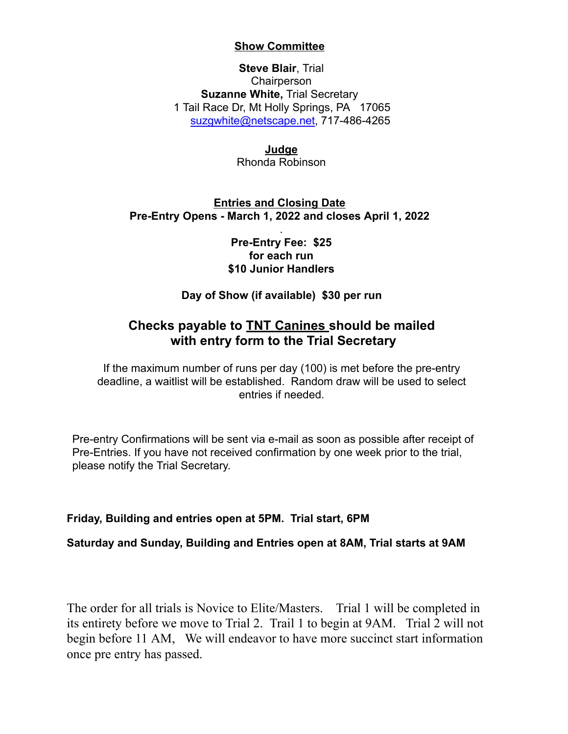#### **Show Committee**

**Steve Blair**, Trial **Chairperson Suzanne White,** Trial Secretary 1 Tail Race Dr, Mt Holly Springs, PA 17065 [suzgwhite@netscape.net,](mailto:suzgwhite@netscape.net) 717-486-4265

> **Judge** Rhonda Robinson

## **Entries and Closing Date Pre-Entry Opens - March 1, 2022 and closes April 1, 2022**

. **Pre-Entry Fee: \$25 for each run \$10 Junior Handlers**

## **Day of Show (if available) \$30 per run**

## **Checks payable to TNT Canines should be mailed with entry form to the Trial Secretary**

If the maximum number of runs per day (100) is met before the pre-entry deadline, a waitlist will be established. Random draw will be used to select entries if needed.

Pre-entry Confirmations will be sent via e-mail as soon as possible after receipt of Pre-Entries. If you have not received confirmation by one week prior to the trial, please notify the Trial Secretary.

## **Friday, Building and entries open at 5PM. Trial start, 6PM**

## **Saturday and Sunday, Building and Entries open at 8AM, Trial starts at 9AM**

The order for all trials is Novice to Elite/Masters. Trial 1 will be completed in its entirety before we move to Trial 2. Trail 1 to begin at 9AM. Trial 2 will not begin before 11 AM, We will endeavor to have more succinct start information once pre entry has passed.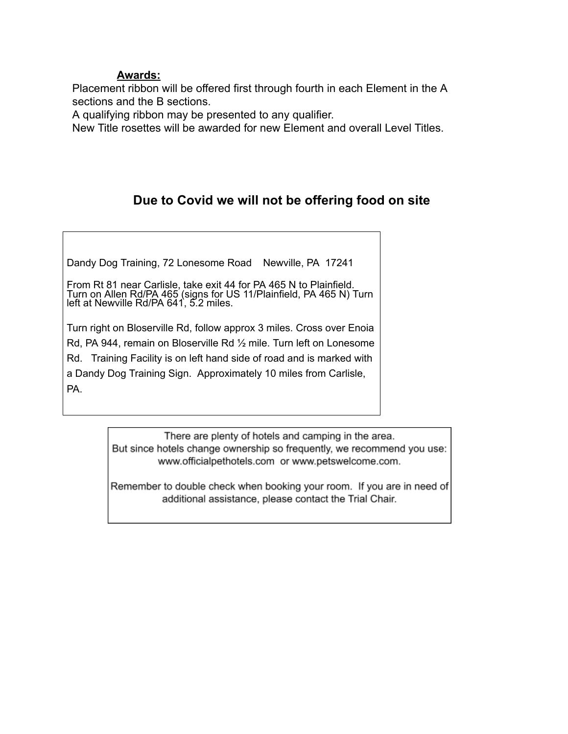#### **Awards:**

Placement ribbon will be offered first through fourth in each Element in the A sections and the B sections.

A qualifying ribbon may be presented to any qualifier.

New Title rosettes will be awarded for new Element and overall Level Titles.

## **Due to Covid we will not be offering food on site**

Dandy Dog Training, 72 Lonesome Road Newville, PA 17241

From Rt 81 near Carlisle, take exit 44 for PA 465 N to Plainfield. Turn on Allen Rd/PA 465 (signs for US 11/Plainfield, PA 465 N) Turn left at Newville Rd/PA 641, 5.2 miles.

Turn right on Bloserville Rd, follow approx 3 miles. Cross over Enoia Rd, PA 944, remain on Bloserville Rd ½ mile. Turn left on Lonesome Rd. Training Facility is on left hand side of road and is marked with a Dandy Dog Training Sign. Approximately 10 miles from Carlisle, PA.

> There are plenty of hotels and camping in the area. But since hotels change ownership so frequently, we recommend you use: www.officialpethotels.com or www.petswelcome.com.

> Remember to double check when booking your room. If you are in need of additional assistance, please contact the Trial Chair.